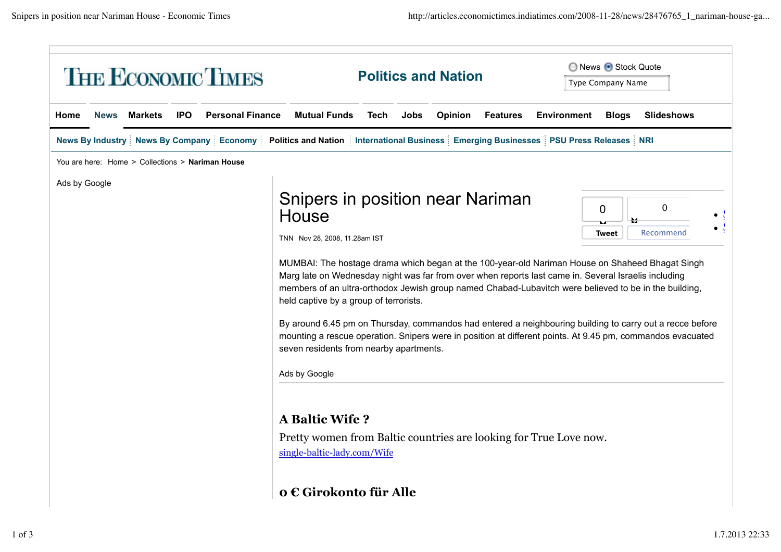|      |               |                                                  |            | <b>THE ECONOMIC TIMES</b>                                                                                                                    |                                                                                                                                                                                                                                                                                                                                                                                                                                                                                                                                                                                                                                                                                                                                |      |      | <b>Politics and Nation</b> |                 |                    | ◯ News + Stock Quote<br><b>Type Company Name</b> |                          |  |
|------|---------------|--------------------------------------------------|------------|----------------------------------------------------------------------------------------------------------------------------------------------|--------------------------------------------------------------------------------------------------------------------------------------------------------------------------------------------------------------------------------------------------------------------------------------------------------------------------------------------------------------------------------------------------------------------------------------------------------------------------------------------------------------------------------------------------------------------------------------------------------------------------------------------------------------------------------------------------------------------------------|------|------|----------------------------|-----------------|--------------------|--------------------------------------------------|--------------------------|--|
| Home | <b>News</b>   | <b>Markets</b>                                   | <b>IPO</b> | <b>Personal Finance</b>                                                                                                                      | <b>Mutual Funds</b>                                                                                                                                                                                                                                                                                                                                                                                                                                                                                                                                                                                                                                                                                                            | Tech | Jobs | Opinion                    | <b>Features</b> | <b>Environment</b> | <b>Blogs</b>                                     | <b>Slideshows</b>        |  |
|      |               |                                                  |            | News By Industry   News By Company   Economy   Politics and Nation   International Business   Emerging Businesses   PSU Press Releases   NRI |                                                                                                                                                                                                                                                                                                                                                                                                                                                                                                                                                                                                                                                                                                                                |      |      |                            |                 |                    |                                                  |                          |  |
|      |               | You are here: Home > Collections > Nariman House |            |                                                                                                                                              |                                                                                                                                                                                                                                                                                                                                                                                                                                                                                                                                                                                                                                                                                                                                |      |      |                            |                 |                    |                                                  |                          |  |
|      | Ads by Google |                                                  |            |                                                                                                                                              | Snipers in position near Nariman<br>House<br>TNN Nov 28, 2008, 11.28am IST<br>MUMBAI: The hostage drama which began at the 100-year-old Nariman House on Shaheed Bhagat Singh<br>Marg late on Wednesday night was far from over when reports last came in. Several Israelis including<br>members of an ultra-orthodox Jewish group named Chabad-Lubavitch were believed to be in the building,<br>held captive by a group of terrorists.<br>By around 6.45 pm on Thursday, commandos had entered a neighbouring building to carry out a recce before<br>mounting a rescue operation. Snipers were in position at different points. At 9.45 pm, commandos evacuated<br>seven residents from nearby apartments.<br>Ads by Google |      |      |                            |                 |                    | 0<br>Tweet                                       | $\mathbf 0$<br>Recommend |  |
|      |               |                                                  |            |                                                                                                                                              | <b>A Baltic Wife?</b><br>Pretty women from Baltic countries are looking for True Love now.<br>single-baltic-lady.com/Wife<br>o € Girokonto für Alle                                                                                                                                                                                                                                                                                                                                                                                                                                                                                                                                                                            |      |      |                            |                 |                    |                                                  |                          |  |